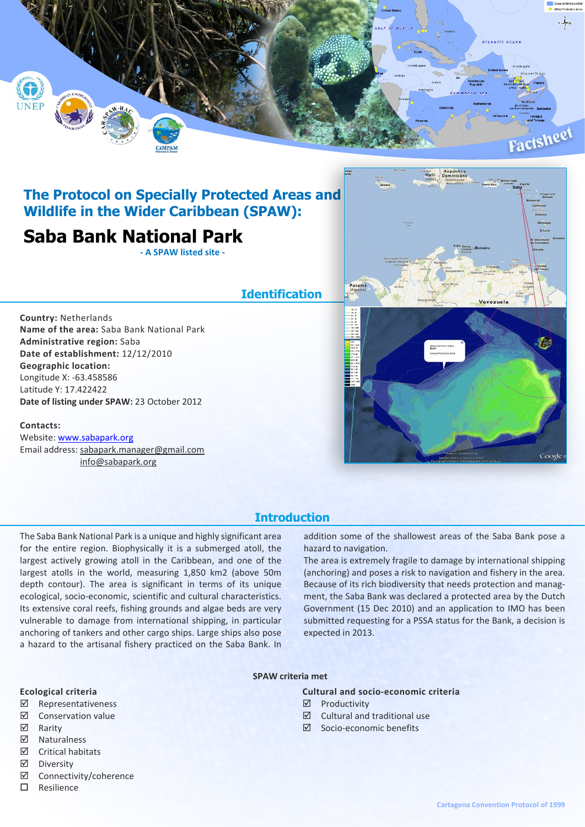

# **The Protocol on Specially Protected Areas and Wildlife in the Wider Caribbean (SPAW):**

# **Saba Bank National Park**

**- A SPAW listed site -**

### **Identification**

**Country:** Netherlands **Name of the area:** Saba Bank National Park **Administrative region:** Saba **Date of establishment:** 12/12/2010 **Geographic location:** Longitude X: -63.458586 Latitude Y: 17.422422 **Date of listing under SPAW:** 23 October 2012

### **Contacts:**

Website: [www.sabapark.org](http://www.sabapark.org/) Email address: sabapark.manager@gmail.com info@sabapark.org



### **Introduction**

The Saba Bank National Park is a unique and highly significant area for the entire region. Biophysically it is a submerged atoll, the largest actively growing atoll in the Caribbean, and one of the largest atolls in the world, measuring 1,850 km2 (above 50m depth contour). The area is significant in terms of its unique ecological, socio-economic, scientific and cultural characteristics. Its extensive coral reefs, fishing grounds and algae beds are very vulnerable to damage from international shipping, in particular anchoring of tankers and other cargo ships. Large ships also pose a hazard to the artisanal fishery practiced on the Saba Bank. In addition some of the shallowest areas of the Saba Bank pose a hazard to navigation.

The area is extremely fragile to damage by international shipping (anchoring) and poses a risk to navigation and fishery in the area. Because of its rich biodiversity that needs protection and managment, the Saba Bank was declared a protected area by the Dutch Government (15 Dec 2010) and an application to IMO has been submitted requesting for a PSSA status for the Bank, a decision is expected in 2013.

### **SPAW criteria met**

### **Ecological criteria**

- ˛ Representativeness
- $\boxtimes$  Conservation value
- ˛ Rarity
- ˛ Naturalness
- ˛ Critical habitats
- ˛ Diversity
- ˛ Connectivity/coherence
- $\square$  Resilience

### **Cultural and socio-economic criteria**

- ˛ Productivity
- $\boxtimes$  Cultural and traditional use
- ˛ Socio-economic benefits